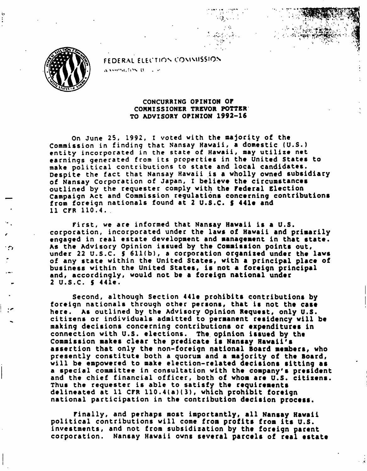FEDERAL ELECTION COMMISSION association to a se-



## CONCURRING OPINION OF COMMISSIONER TREVOR POTTER TO ADVISORY OPINION 1992-16

- V:,:^.t43K>-.r- •• '£

On June 25, 1992, I voted with the majority of the Commission in finding that Nansay Hawaii, a domestic (U.S.) entity incorporated in the state of Hawaii, may utilize net earnings generated from its properties in the United States to make political contributions to state and local candidates. Despite the fact that Nansay Hawaii is a wholly owned subsidiary of Nansay Corporation of Japan, I believe the circumstances outlined by the requester comply with the Federal Election Campaign Act and Commission regulations concerning contributions from foreign nationals found at 2 U.S.C. S 441e and 11 CFR 110.4.

First, we are informed that Nansay Hawaii is a U.S. corporation, incorporated under the laws of Hawaii and primarily engaged in real estate development and management in that state. As the Advisory Opinion issued by the Commission points out, under 22 U.S.C. S 611(b), a corporation organized under the laws of any state within the United States, with a principal place of business within the United States, is not a foreign principal and, accordingly, would not be a foreign national under 2 U.S.C. S 441e.

Second, although Section 441e prohibits contributions by foreign nationals through other persons, that is not the case here. As outlined by the Advisory Opinion Request, only U.S. citizens or individuals admitted to permanent residency will be making decisions concerning contributions or expenditures in connection with U.S. elections. The opinion issued by the Commission makes clear the predicate is Nansay Hawaii's assertion that only the non-foreign national Board members, who presently constitute both a quorum and a majority of the Board, will be empowered to make election-related decisions sitting as a special committee in consultation with the company's president and the chief financial officer, both of whom are U.S. citizens. Thus the requester is able to satisfy the requirements delineated at 11 CFR 110.4(a)(3), which prohibit foreign national participation in the contribution decision process.

Finally, and perhaps most importantly, all Nansay Hawaii political contributions will come from profits from its U.S. investments, and not from subsidization by the foreign parent corporation. Nansay Hawaii owns several parcels of real estate